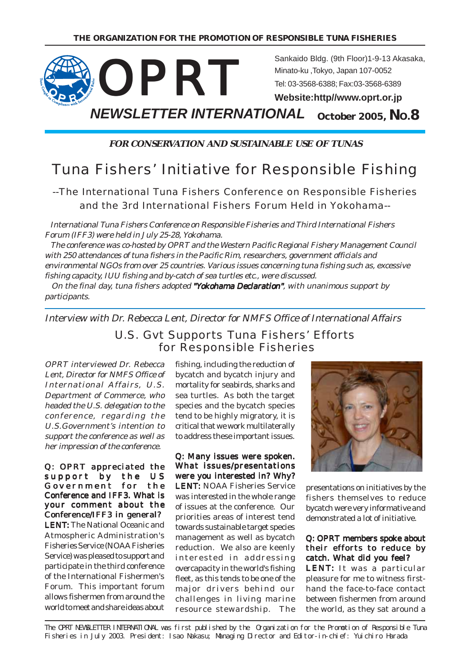

**FOR CONSERVATION AND SUSTAINABLE USE OF TUNAS**

# Tuna Fishers' Initiative for Responsible Fishing

# --The International Tuna Fishers Conference on Responsible Fisheries and the 3rd International Fishers Forum Held in Yokohama--

 International Tuna Fishers Conference on Responsible Fisheries and Third International Fishers Forum (IFF3) were held in July 25-28, Yokohama.

 The conference was co-hosted by OPRT and the Western Pacific Regional Fishery Management Council with 250 attendances of tuna fishers in the Pacific Rim, researchers, government officials and environmental NGOs from over 25 countries. Various issues concerning tuna fishing such as, excessive fishing capacity, IUU fishing and by-catch of sea turtles etc., were discussed.

On the final day, tuna fishers adopted "Yokohama Declaration", with unanimous support by participants.

Interview with Dr. Rebecca Lent, Director for NMFS Office of International Affairs

# U.S. Gvt Supports Tuna Fishers' Efforts for Responsible Fisheries

OPRT interviewed Dr. Rebecca Lent, Director for NMFS Office of International Affairs, U.S. Department of Commerce, who headed the U.S. delegation to the conference, regarding the U.S.Government's intention to support the conference as well as her impression of the conference.

Q: OPRT appreciated the support by the US Government for the Conference and IFF3. What is your comment about the Conference/IFF3 in general? LENT: The National Oceanic and Atmospheric Administration's Fisheries Service (NOAA Fisheries Service) was pleased to support and participate in the third conference of the International Fishermen's Forum. This important forum allows fishermen from around the world to meet and share ideas about

fishing, including the reduction of bycatch and bycatch injury and mortality for seabirds, sharks and sea turtles. As both the target species and the bycatch species tend to be highly migratory, it is critical that we work multilaterally to address these important issues.

## Q: Many issues were spoken. What issues/presentations were you interested in? Why?

LENT: NOAA Fisheries Service was interested in the whole range of issues at the conference. Our priorities areas of interest tend towards sustainable target species management as well as bycatch reduction. We also are keenly interested in addressing overcapacity in the world's fishing fleet, as this tends to be one of the major drivers behind our challenges in living marine resource stewardship. The



presentations on initiatives by the fishers themselves to reduce bycatch were very informative and demonstrated a lot of initiative.

Q: OPRT members spoke about their efforts to reduce by catch. What did you feel? LENT: It was a particular pleasure for me to witness firsthand the face-to-face contact between fishermen from around the world, as they sat around a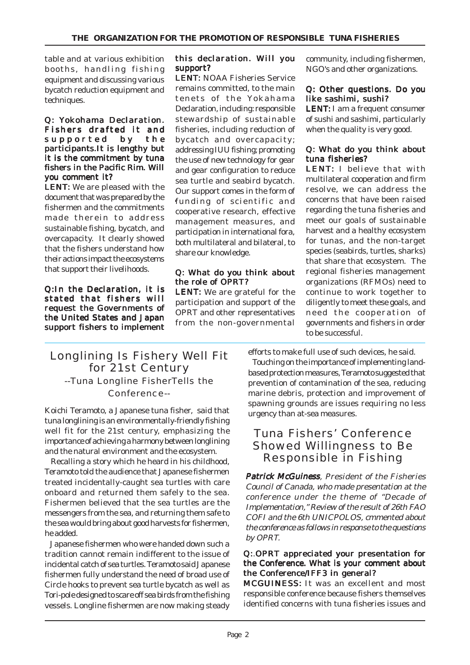table and at various exhibition booths, handling fishing equipment and discussing various bycatch reduction equipment and techniques.

#### Q: Yokohama Declaration. Fishers drafted it and supported by the participants.It is lengthy but it is the commitment by tuna fishers in the Pacific Rim. Will you comment it?

**LENT:** We are pleased with the document that was prepared by the fishermen and the commitments made therein to address sustainable fishing, bycatch, and overcapacity. It clearly showed that the fishers understand how their actions impact the ecosystems that support their livelihoods.

Q:In the Declaration, it is stated that fishers will request the Governments of the United States and Japan support fishers to implement

## this declaration. Will you support?

LENT: NOAA Fisheries Service remains committed, to the main tenets of the Yokahama Declaration, including: responsible stewardship of sustainable fisheries, including reduction of bycatch and overcapacity; addressing IUU fishing; promoting the use of new technology for gear and gear configuration to reduce sea turtle and seabird bycatch. Our support comes in the form of funding of scientific and cooperative research, effective management measures, and participation in international fora, both multilateral and bilateral, to share our knowledge.

### Q: What do you think about the role of OPRT?

LENT: We are grateful for the participation and support of the OPRT and other representatives from the non-governmental community, including fishermen, NGO's and other organizations.

#### Q: Other questions. Do you like sashimi, sushi?

LENT: I am a frequent consumer of sushi and sashimi, particularly when the quality is very good.

#### Q: What do you think about tuna fisheries?

LENT: I believe that with multilateral cooperation and firm resolve, we can address the concerns that have been raised regarding the tuna fisheries and meet our goals of sustainable harvest and a healthy ecosystem for tunas, and the non-target species (seabirds, turtles, sharks) that share that ecosystem. The regional fisheries management organizations (RFMOs) need to continue to work together to diligently to meet these goals, and need the cooperation of governments and fishers in order to be successful.

## efforts to make full use of such devices, he said.

# Longlining Is Fishery Well Fit for 21st Century --Tuna Longline FisherTells the Conference--

Koichi Teramoto, a Japanese tuna fisher, said that tuna longlining is an environmentally-friendly fishing well fit for the 21st century, emphasizing the importance of achieving a harmony between longlining and the natural environment and the ecosystem.

 Recalling a story which he heard in his childhood, Teramoto told the audience that Japanese fishermen treated incidentally-caught sea turtles with care onboard and returned them safely to the sea. Fishermen believed that the sea turtles are the messengers from the sea, and returning them safe to the sea would bring about good harvests for fishermen, he added.

 Japanese fishermen who were handed down such a tradition cannot remain indifferent to the issue of incidental catch of sea turtles. Teramoto said Japanese fishermen fully understand the need of broad use of Circle hooks to prevent sea turtle bycatch as well as Tori-pole designed to scare off sea birds from the fishing vessels. Longline fishermen are now making steady

 Touching on the importance of implementing landbased protection measures, Teramoto suggested that prevention of contamination of the sea, reducing marine debris, protection and improvement of spawning grounds are issues requiring no less urgency than at-sea measures.

# Tuna Fishers' Conference Showed Willingness to Be Responsible in Fishing

Patrick McGuiness, President of the Fisheries Council of Canada, who made presentation at the conference under the theme of "Decade of Implementation," Review of the result of 26th FAO COFI and the 6th UNICPOLOS, cmmented about the conference as follows in response to the questions by OPRT.

#### Q:.OPRT appreciated your presentation for the Conference. What is your comment about the Conference/IFF3 in general?

MCGUINESS: It was an excellent and most responsible conference because fishers themselves identified concerns with tuna fisheries issues and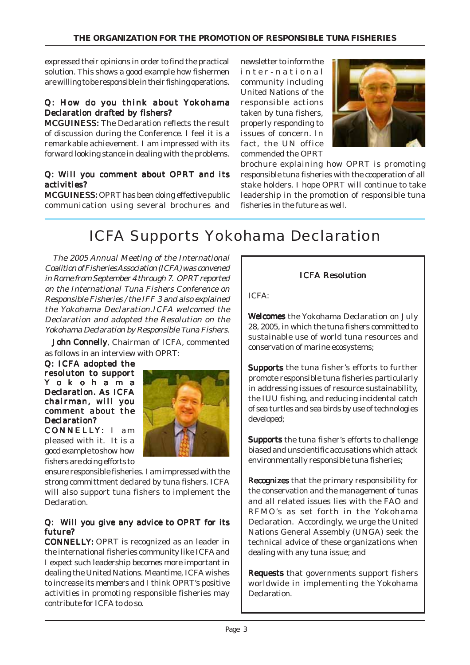expressed their opinions in order to find the practical solution. This shows a good example how fishermen are willing to be responsible in their fishing operations.

## Q: How do you think about Yokohama Declaration drafted by fishers?

MCGUINESS: The Declaration reflects the result of discussion during the Conference. I feel it is a remarkable achievement. I am impressed with its forward looking stance in dealing with the problems.

### Q: Will you comment about OPRT and its activities?

MCGUINESS: OPRT has been doing effective public communication using several brochures and

newsletter to inform the inter-national community including United Nations of the responsible actions taken by tuna fishers, properly responding to issues of concern. In fact, the UN office commended the OPRT



brochure explaining how OPRT is promoting responsible tuna fisheries with the cooperation of all stake holders. I hope OPRT will continue to take leadership in the promotion of responsible tuna fisheries in the future as well.

# ICFA Supports Yokohama Declaration

 The 2005 Annual Meeting of the International Coalition of Fisheries Association (ICFA) was convened in Rome from September 4 through 7. OPRT reported on the International Tuna Fishers Conference on Responsible Fisheries / the IFF 3 and also explained the Yokohama Declaration.ICFA welcomed the Declaration and adopted the Resolution on the Yokohama Declaration by Responsible Tuna Fishers.

John Connelly, Chairman of ICFA, commented as follows in an interview with OPRT:

Q: ICFA adopted the resoluton to support Y okohama Declaration. As ICFA chairman, will you comment about the Declaration?

CONNELLY: I am pleased with it. It is a good example to show how fishers are doing efforts to



ensure responsible fisheries. I am impressed with the strong committment declared by tuna fishers. ICFA will also support tuna fishers to implement the Declaration.

#### Q: Will you give any advice to OPRT for its future?

CONNELLY: OPRT is recognized as an leader in : the international fisheries community like ICFA and I expect such leadership becomes more important in dealing the United Nations. Meantime, ICFA wishes to increase its members and I think OPRT's positive activities in promoting responsible fisheries may contribute for ICFA to do so.

# ICFA Resolution

ICFA:

Welcomes the Yokohama Declaration on July 28, 2005, in which the tuna fishers committed to sustainable use of world tuna resources and conservation of marine ecosystems;

Supports the tuna fisher's efforts to further promote responsible tuna fisheries particularly in addressing issues of resource sustainability, the IUU fishing, and reducing incidental catch of sea turtles and sea birds by use of technologies developed;

Supports the tuna fisher's efforts to challenge biased and unscientific accusations which attack environmentally responsible tuna fisheries;

Recognizes that the primary responsibility for the conservation and the management of tunas and all related issues lies with the FAO and RFMO's as set forth in the Yokohama Declaration. Accordingly, we urge the United Nations General Assembly (UNGA) seek the technical advice of these organizations when dealing with any tuna issue; and

Requests that governments support fishers worldwide in implementing the Yokohama Declaration.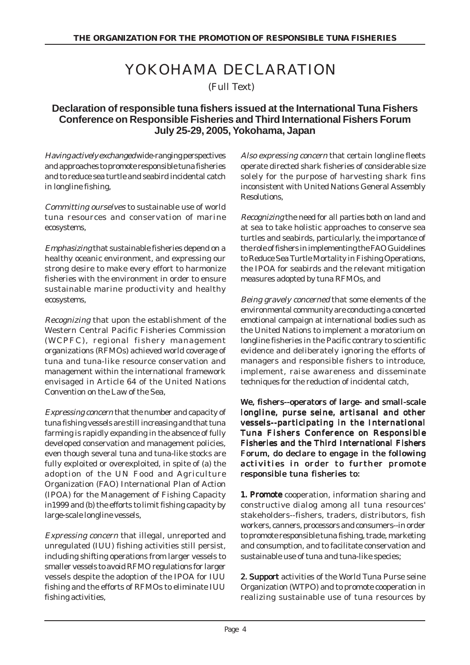# YOKOHAMA DECLARATION

(Full Text)

# **Declaration of responsible tuna fishers issued at the International Tuna Fishers Conference on Responsible Fisheries and Third International Fishers Forum July 25-29, 2005, Yokohama, Japan**

Having actively exchanged wide-ranging perspectives and approaches to promote responsible tuna fisheries and to reduce sea turtle and seabird incidental catch in longline fishing,

Committing ourselves to sustainable use of world tuna resources and conservation of marine ecosystems,

Emphasizing that sustainable fisheries depend on a healthy oceanic environment, and expressing our strong desire to make every effort to harmonize fisheries with the environment in order to ensure sustainable marine productivity and healthy ecosystems,

Recognizing that upon the establishment of the Western Central Pacific Fisheries Commission (WCPFC), regional fishery management organizations (RFMOs) achieved world coverage of tuna and tuna-like resource conservation and management within the international framework envisaged in Article 64 of the United Nations Convention on the Law of the Sea,

Expressing concern that the number and capacity of tuna fishing vessels are still increasing and that tuna farming is rapidly expanding in the absence of fully developed conservation and management policies, even though several tuna and tuna-like stocks are fully exploited or overexploited, in spite of (a) the adoption of the UN Food and Agriculture Organization (FAO) International Plan of Action (IPOA) for the Management of Fishing Capacity in1999 and (b) the efforts to limit fishing capacity by large-scale longline vessels,

Expressing concern that illegal, unreported and unregulated (IUU) fishing activities still persist, including shifting operations from larger vessels to smaller vessels to avoid RFMO regulations for larger vessels despite the adoption of the IPOA for IUU fishing and the efforts of RFMOs to eliminate IUU fishing activities,

Also expressing concern that certain longline fleets operate directed shark fisheries of considerable size solely for the purpose of harvesting shark fins inconsistent with United Nations General Assembly **Resolutions** 

Recognizing the need for all parties both on land and at sea to take holistic approaches to conserve sea turtles and seabirds, particularly, the importance of the role of fishers in implementing the FAO Guidelines to Reduce Sea Turtle Mortality in Fishing Operations, the IPOA for seabirds and the relevant mitigation measures adopted by tuna RFMOs, and

Being gravely concerned that some elements of the environmental community are conducting a concerted emotional campaign at international bodies such as the United Nations to implement a moratorium on longline fisheries in the Pacific contrary to scientific evidence and deliberately ignoring the efforts of managers and responsible fishers to introduce, implement, raise awareness and disseminate techniques for the reduction of incidental catch,

## We, fishers--operators of large- and small-scale longline, purse seine, artisanal and other vessels--participating in the International Tuna Fishers Conference on Responsible Fisheries and the Third International Fishers Forum, do declare to engage in the following activities in order to further promote responsible tuna fisheries to:

1. Promote cooperation, information sharing and constructive dialog among all tuna resources' stakeholders--fishers, traders, distributors, fish workers, canners, processors and consumers--in order to promote responsible tuna fishing, trade, marketing and consumption, and to facilitate conservation and sustainable use of tuna and tuna-like species;

2. Support activities of the World Tuna Purse seine Organization (WTPO) and to promote cooperation in realizing sustainable use of tuna resources by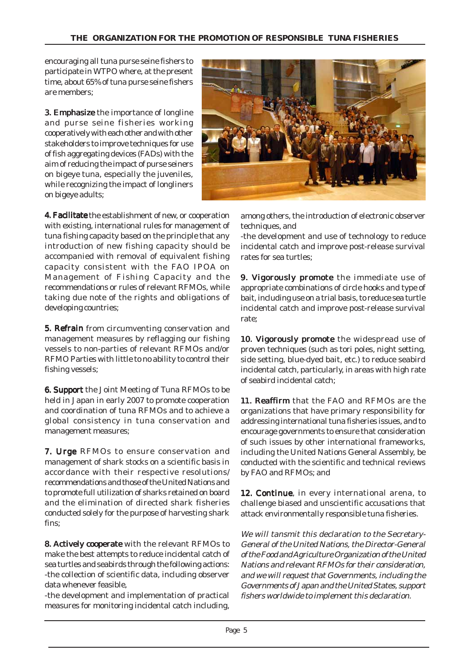encouraging all tuna purse seine fishers to participate in WTPO where, at the present time, about 65% of tuna purse seine fishers are members;

**3. Emphasize** the importance of longline and purse seine fisheries working cooperatively with each other and with other stakeholders to improve techniques for use of fish aggregating devices (FADs) with the aim of reducing the impact of purse seiners on bigeye tuna, especially the juveniles, while recognizing the impact of longliners on bigeye adults;



4. Facilitate the establishment of new, or cooperation with existing, international rules for management of tuna fishing capacity based on the principle that any introduction of new fishing capacity should be accompanied with removal of equivalent fishing capacity consistent with the FAO IPOA on Management of Fishing Capacity and the recommendations or rules of relevant RFMOs, while taking due note of the rights and obligations of developing countries;

5. Refrain from circumventing conservation and management measures by reflagging our fishing vessels to non-parties of relevant RFMOs and/or RFMO Parties with little to no ability to control their fishing vessels;

**6. Support** the Joint Meeting of Tuna RFMOs to be held in Japan in early 2007 to promote cooperation and coordination of tuna RFMOs and to achieve a global consistency in tuna conservation and management measures;

7. Urge RFMOs to ensure conservation and management of shark stocks on a scientific basis in accordance with their respective resolutions/ recommendations and those of the United Nations and to promote full utilization of sharks retained on board and the elimination of directed shark fisheries conducted solely for the purpose of harvesting shark fins;

8. Actively cooperate with the relevant RFMOs to make the best attempts to reduce incidental catch of sea turtles and seabirds through the following actions: -the collection of scientific data, including observer data whenever feasible,

-the development and implementation of practical measures for monitoring incidental catch including,

among others, the introduction of electronic observer techniques, and

-the development and use of technology to reduce incidental catch and improve post-release survival rates for sea turtles;

9. Vigorously promote the immediate use of appropriate combinations of circle hooks and type of bait, including use on a trial basis, to reduce sea turtle incidental catch and improve post-release survival rate;

10. Vigorously promote the widespread use of proven techniques (such as tori poles, night setting, side setting, blue-dyed bait, etc.) to reduce seabird incidental catch, particularly, in areas with high rate of seabird incidental catch;

11. Reaffirm that the FAO and RFMOs are the organizations that have primary responsibility for addressing international tuna fisheries issues, and to encourage governments to ensure that consideration of such issues by other international frameworks, including the United Nations General Assembly, be conducted with the scientific and technical reviews by FAO and RFMOs; and

12. Continue, in every international arena, to challenge biased and unscientific accusations that attack environmentally responsible tuna fisheries.

We will tansmit this declaration to the Secretary-General of the United Nations, the Director-General of the Food and Agriculture Organization of the United Nations and relevant RFMOs for their consideration, and we will request that Governments, including the Governments of Japan and the United States, support fishers worldwide to implement this declaration.